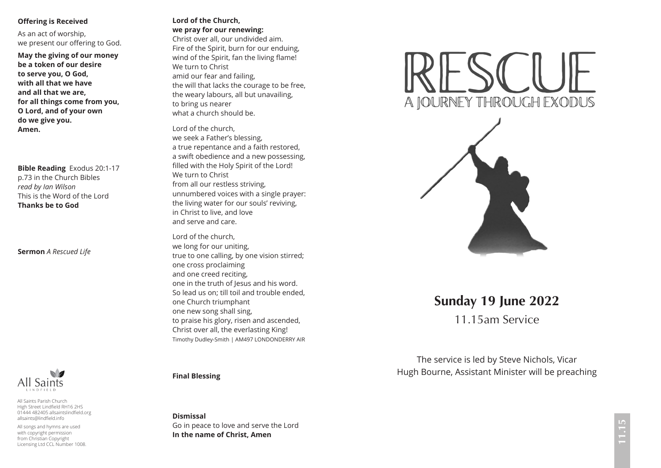### **Offering is Received**

As an act of worship, we present our offering to God.

**May the giving of our money be a token of our desire to serve you, O God, with all that we have and all that we are, for all things come from you, O Lord, and of your own do we give you. Amen.**

**Bible Reading** Exodus 20:1-17 p.73 in the Church Bibles *read by Ian Wilson* This is the Word of the Lord **Thanks be to God**

### **Sermon** *A Rescued Life*



All Saints Parish Church High Street Lindfield RH16 2HS 01444 482405 allsaintslindfield.org allsaints@lindfield.info

All songs and hymns are used with copyright permission from Christian Copyright Licensing Ltd CCL Number 1008.

## **Lord of the Church,**

**we pray for our renewing:** Christ over all, our undivided aim. Fire of the Spirit, burn for our enduing, wind of the Spirit, fan the living flame! We turn to Christ amid our fear and failing, the will that lacks the courage to be free, the weary labours, all but unavailing, to bring us nearer what a church should be.

Lord of the church, we seek a Father's blessing, a true repentance and a faith restored, a swift obedience and a new possessing, filled with the Holy Spirit of the Lord! We turn to Christ from all our restless striving, unnumbered voices with a single prayer: the living water for our souls' reviving, in Christ to live, and love and serve and care.

Lord of the church, we long for our uniting, true to one calling, by one vision stirred; one cross proclaiming and one creed reciting, one in the truth of Jesus and his word. So lead us on; till toil and trouble ended, one Church triumphant one new song shall sing, to praise his glory, risen and ascended, Christ over all, the everlasting King! Timothy Dudley-Smith | AM497 LONDONDERRY AIR

# A JOURNEY THROUGH EXODUS



# **Sunday 19 June 2022**

11.15am Service

The service is led by Steve Nichols, Vicar Hugh Bourne, Assistant Minister will be preaching

**Final Blessing**

### **Dismissal**

Go in peace to love and serve the Lord **In the name of Christ, Amen**